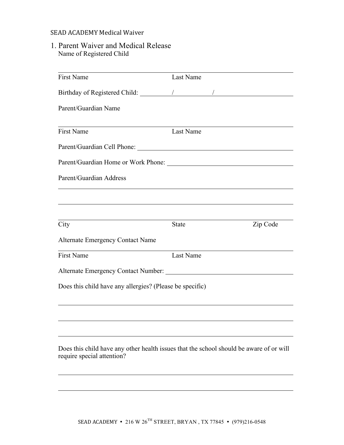## SEAD ACADEMY Medical Waiver

1. Parent Waiver and Medical Release Name of Registered Child

| Parent/Guardian Name<br><b>First Name</b><br>Last Name<br>Parent/Guardian Address<br>City<br><b>State</b><br>Zip Code<br><b>Alternate Emergency Contact Name</b><br><b>First Name</b><br>Last Name<br>Does this child have any allergies? (Please be specific)<br>Does this child have any other health issues that the school should be aware of or will<br>require special attention? | <b>First Name</b> | Last Name |  |  |
|-----------------------------------------------------------------------------------------------------------------------------------------------------------------------------------------------------------------------------------------------------------------------------------------------------------------------------------------------------------------------------------------|-------------------|-----------|--|--|
|                                                                                                                                                                                                                                                                                                                                                                                         |                   |           |  |  |
|                                                                                                                                                                                                                                                                                                                                                                                         |                   |           |  |  |
|                                                                                                                                                                                                                                                                                                                                                                                         |                   |           |  |  |
|                                                                                                                                                                                                                                                                                                                                                                                         |                   |           |  |  |
|                                                                                                                                                                                                                                                                                                                                                                                         |                   |           |  |  |
|                                                                                                                                                                                                                                                                                                                                                                                         |                   |           |  |  |
|                                                                                                                                                                                                                                                                                                                                                                                         |                   |           |  |  |
|                                                                                                                                                                                                                                                                                                                                                                                         |                   |           |  |  |
|                                                                                                                                                                                                                                                                                                                                                                                         |                   |           |  |  |
|                                                                                                                                                                                                                                                                                                                                                                                         |                   |           |  |  |
|                                                                                                                                                                                                                                                                                                                                                                                         |                   |           |  |  |
|                                                                                                                                                                                                                                                                                                                                                                                         |                   |           |  |  |
|                                                                                                                                                                                                                                                                                                                                                                                         |                   |           |  |  |
|                                                                                                                                                                                                                                                                                                                                                                                         |                   |           |  |  |
|                                                                                                                                                                                                                                                                                                                                                                                         |                   |           |  |  |
|                                                                                                                                                                                                                                                                                                                                                                                         |                   |           |  |  |